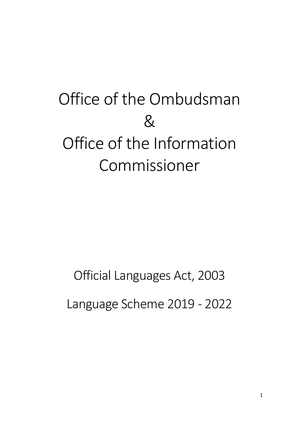# Office of the Ombudsman & Office of the Information Commissioner

## Official Languages Act, 2003

Language Scheme 2019 - 2022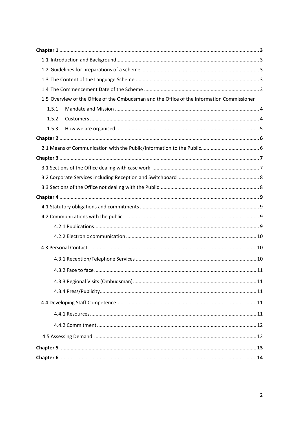| 1.5 Overview of the Office of the Ombudsman and the Office of the Information Commissioner |    |
|--------------------------------------------------------------------------------------------|----|
| 1.5.1                                                                                      |    |
| 1.5.2                                                                                      |    |
| 1.5.3                                                                                      |    |
|                                                                                            |    |
|                                                                                            |    |
|                                                                                            |    |
|                                                                                            |    |
|                                                                                            |    |
|                                                                                            |    |
|                                                                                            |    |
|                                                                                            |    |
|                                                                                            |    |
|                                                                                            |    |
|                                                                                            |    |
|                                                                                            |    |
|                                                                                            |    |
| 4.3.2 Face to face.                                                                        | 11 |
|                                                                                            |    |
|                                                                                            |    |
|                                                                                            |    |
|                                                                                            |    |
|                                                                                            |    |
|                                                                                            |    |
|                                                                                            |    |
|                                                                                            |    |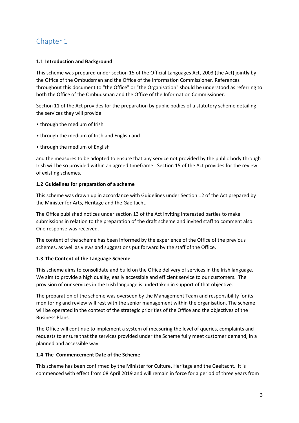### **1.1 Introduction and Background**

This scheme was prepared under section 15 of the Official Languages Act, 2003 (the Act) jointly by the Office of the Ombudsman and the Office of the Information Commissioner. References throughout this document to "the Office" or "the Organisation" should be understood as referring to both the Office of the Ombudsman and the Office of the Information Commissioner.

Section 11 of the Act provides for the preparation by public bodies of a statutory scheme detailing the services they will provide

- through the medium of Irish
- through the medium of Irish and English and
- through the medium of English

and the measures to be adopted to ensure that any service not provided by the public body through Irish will be so provided within an agreed timeframe. Section 15 of the Act provides for the review of existing schemes.

### **1.2 Guidelines for preparation of a scheme**

This scheme was drawn up in accordance with Guidelines under Section 12 of the Act prepared by the Minister for Arts, Heritage and the Gaeltacht.

The Office published notices under section 13 of the Act inviting interested parties to make submissions in relation to the preparation of the draft scheme and invited staff to comment also. One response was received.

The content of the scheme has been informed by the experience of the Office of the previous schemes, as well as views and suggestions put forward by the staff of the Office.

### **1.3 The Content of the Language Scheme**

This scheme aims to consolidate and build on the Office delivery of services in the Irish language. We aim to provide a high quality, easily accessible and efficient service to our customers. The provision of our services in the Irish language is undertaken in support of that objective.

The preparation of the scheme was overseen by the Management Team and responsibility for its monitoring and review will rest with the senior management within the organisation. The scheme will be operated in the context of the strategic priorities of the Office and the objectives of the Business Plans.

The Office will continue to implement a system of measuring the level of queries, complaints and requests to ensure that the services provided under the Scheme fully meet customer demand, in a planned and accessible way.

### **1.4 The Commencement Date of the Scheme**

This scheme has been confirmed by the Minister for Culture, Heritage and the Gaeltacht. It is commenced with effect from 08 April 2019 and will remain in force for a period of three years from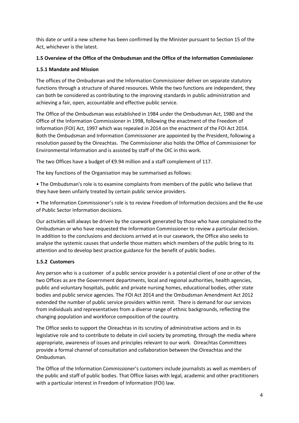this date or until a new scheme has been confirmed by the Minister pursuant to Section 15 of the Act, whichever is the latest.

### **1.5 Overview of the Office of the Ombudsman and the Office of the Information Commissioner**

### **1.5.1 Mandate and Mission**

The offices of the Ombudsman and the Information Commissioner deliver on separate statutory functions through a structure of shared resources. While the two functions are independent, they can both be considered as contributing to the improving standards in public administration and achieving a fair, open, accountable and effective public service.

The Office of the Ombudsman was established in 1984 under the Ombudsman Act, 1980 and the Office of the Information Commissioner in 1998, following the enactment of the Freedom of Information (FOI) Act, 1997 which was repealed in 2014 on the enactment of the FOI Act 2014. Both the Ombudsman and Information Commissioner are appointed by the President, following a resolution passed by the Oireachtas. The Commissioner also holds the Office of Commissioner for Environmental Information and is assisted by staff of the OIC in this work.

The two Offices have a budget of €9.94 million and a staff complement of 117.

The key functions of the Organisation may be summarised as follows:

• The Ombudsman's role is to examine complaints from members of the public who believe that they have been unfairly treated by certain public service providers.

• The Information Commissioner's role is to review Freedom of Information decisions and the Re-use of Public Sector Information decisions.

Our activities will always be driven by the casework generated by those who have complained to the Ombudsman or who have requested the Information Commissioner to review a particular decision. In addition to the conclusions and decisions arrived at in our casework, the Office also seeks to analyse the systemic causes that underlie those matters which members of the public bring to its attention and to develop best practice guidance for the benefit of public bodies.

### **1.5.2 Customers**

Any person who is a customer of a public service provider is a potential client of one or other of the two Offices as are the Government departments, local and regional authorities, health agencies, public and voluntary hospitals, public and private nursing homes, educational bodies, other state bodies and public service agencies. The FOI Act 2014 and the Ombudsman Amendment Act 2012 extended the number of public service providers within remit. There is demand for our services from individuals and representatives from a diverse range of ethnic backgrounds, reflecting the changing population and workforce composition of the country.

The Office seeks to support the Oireachtas in its scrutiny of administrative actions and in its legislative role and to contribute to debate in civil society by promoting, through the media where appropriate, awareness of issues and principles relevant to our work. Oireachtas Committees provide a formal channel of consultation and collaboration between the Oireachtas and the Ombudsman.

The Office of the Information Commissioner's customers include journalists as well as members of the public and staff of public bodies. That Office liaises with legal, academic and other practitioners with a particular interest in Freedom of Information (FOI) law.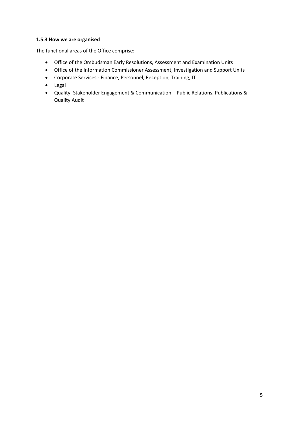### **1.5.3 How we are organised**

The functional areas of the Office comprise:

- Office of the Ombudsman Early Resolutions, Assessment and Examination Units
- Office of the Information Commissioner Assessment, Investigation and Support Units
- Corporate Services Finance, Personnel, Reception, Training, IT
- Legal
- Quality, Stakeholder Engagement & Communication Public Relations, Publications & Quality Audit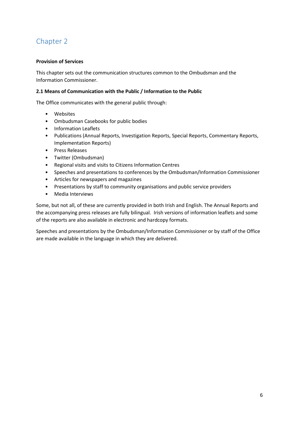### **Provision of Services**

This chapter sets out the communication structures common to the Ombudsman and the Information Commissioner.

### **2.1 Means of Communication with the Public / Information to the Public**

The Office communicates with the general public through:

- Websites
- Ombudsman Casebooks for public bodies
- Information Leaflets
- Publications (Annual Reports, Investigation Reports, Special Reports, Commentary Reports, Implementation Reports)
- Press Releases
- Twitter (Ombudsman)
- Regional visits and visits to Citizens Information Centres
- Speeches and presentations to conferences by the Ombudsman/Information Commissioner
- Articles for newspapers and magazines
- Presentations by staff to community organisations and public service providers
- Media Interviews

Some, but not all, of these are currently provided in both Irish and English. The Annual Reports and the accompanying press releases are fully bilingual. Irish versions of information leaflets and some of the reports are also available in electronic and hardcopy formats.

Speeches and presentations by the Ombudsman/Information Commissioner or by staff of the Office are made available in the language in which they are delivered.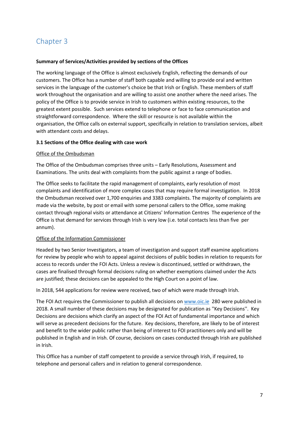#### **Summary of Services/Activities provided by sections of the Offices**

The working language of the Office is almost exclusively English, reflecting the demands of our customers. The Office has a number of staff both capable and willing to provide oral and written services in the language of the customer's choice be that Irish or English. These members of staff work throughout the organisation and are willing to assist one another where the need arises. The policy of the Office is to provide service in Irish to customers within existing resources, to the greatest extent possible. Such services extend to telephone or face to face communication and straightforward correspondence. Where the skill or resource is not available within the organisation, the Office calls on external support, specifically in relation to translation services, albeit with attendant costs and delays.

#### **3.1 Sections of the Office dealing with case work**

#### Office of the Ombudsman

The Office of the Ombudsman comprises three units – Early Resolutions, Assessment and Examinations. The units deal with complaints from the public against a range of bodies.

The Office seeks to facilitate the rapid management of complaints, early resolution of most complaints and identification of more complex cases that may require formal investigation. In 2018 the Ombudsman received over 1,700 enquiries and 3383 complaints. The majority of complaints are made via the website, by post or email with some personal callers to the Office, some making contact through regional visits or attendance at Citizens' Information Centres The experience of the Office is that demand for services through Irish is very low (i.e. total contacts less than five per annum).

#### Office of the Information Commissioner

Headed by two Senior Investigators, a team of investigation and support staff examine applications for review by people who wish to appeal against decisions of public bodies in relation to requests for access to records under the FOI Acts. Unless a review is discontinued, settled or withdrawn, the cases are finalised through formal decisions ruling on whether exemptions claimed under the Acts are justified; these decisions can be appealed to the High Court on a point of law.

In 2018, 544 applications for review were received, two of which were made through Irish.

The FOI Act requires the Commissioner to publish all decisions o[n www.oic.ie](http://www.oic.ie/) 280 were published in 2018. A small number of these decisions may be designated for publication as ''Key Decisions''. Key Decisions are decisions which clarify an aspect of the FOI Act of fundamental importance and which will serve as precedent decisions for the future. Key decisions, therefore, are likely to be of interest and benefit to the wider public rather than being of interest to FOI practitioners only and will be published in English and in Irish. Of course, decisions on cases conducted through Irish are published in Irish.

This Office has a number of staff competent to provide a service through Irish, if required, to telephone and personal callers and in relation to general correspondence.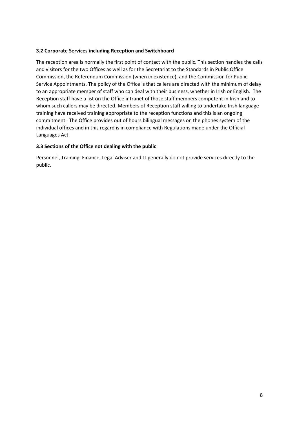#### **3.2 Corporate Services including Reception and Switchboard**

The reception area is normally the first point of contact with the public. This section handles the calls and visitors for the two Offices as well as for the Secretariat to the Standards in Public Office Commission, the Referendum Commission (when in existence), and the Commission for Public Service Appointments. The policy of the Office is that callers are directed with the minimum of delay to an appropriate member of staff who can deal with their business, whether in Irish or English. The Reception staff have a list on the Office intranet of those staff members competent in Irish and to whom such callers may be directed. Members of Reception staff willing to undertake Irish language training have received training appropriate to the reception functions and this is an ongoing commitment. The Office provides out of hours bilingual messages on the phones system of the individual offices and in this regard is in compliance with Regulations made under the Official Languages Act.

#### **3.3 Sections of the Office not dealing with the public**

Personnel, Training, Finance, Legal Adviser and IT generally do not provide services directly to the public.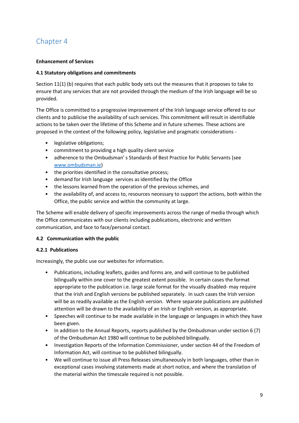### **Enhancement of Services**

### **4.1 Statutory obligations and commitments**

Section 11(1) (b) requires that each public body sets out the measures that it proposes to take to ensure that any services that are not provided through the medium of the Irish language will be so provided.

The Office is committed to a progressive improvement of the Irish language service offered to our clients and to publicise the availability of such services. This commitment will result in identifiable actions to be taken over the lifetime of this Scheme and in future schemes. These actions are proposed in the context of the following policy, legislative and pragmatic considerations -

- legislative obligations;
- commitment to providing a high quality client service
- adherence to the Ombudsman' s Standards of Best Practice for Public Servants (see [www.ombudsman.ie\)](http://www.ombudsman.ie/)
- the priorities identified in the consultative process;
- demand for Irish language services as identified by the Office
- the lessons learned from the operation of the previous schemes, and
- the availability of, and access to, resources necessary to support the actions, both within the Office, the public service and within the community at large.

The Scheme will enable delivery of specific improvements across the range of media through which the Office communicates with our clients including publications, electronic and written communication, and face to face/personal contact.

### **4.2 Communication with the public**

### **4.2.1 Publications**

Increasingly, the public use our websites for information.

- Publications, including leaflets, guides and forms are, and will continue to be published bilingually within one cover to the greatest extent possible. In certain cases the format appropriate to the publication i.e. large scale format for the visually disabled- may require that the Irish and English versions be published separately. In such cases the Irish version will be as readily available as the English version. Where separate publications are published attention will be drawn to the availability of an Irish or English version, as appropriate.
- Speeches will continue to be made available in the language or languages in which they have been given.
- In addition to the Annual Reports, reports published by the Ombudsman under section 6 (7) of the Ombudsman Act 1980 will continue to be published bilingually.
- Investigation Reports of the Information Commissioner, under section 44 of the Freedom of Information Act, will continue to be published bilingually.
- We will continue to issue all Press Releases simultaneously in both languages, other than in exceptional cases involving statements made at short notice, and where the translation of the material within the timescale required is not possible.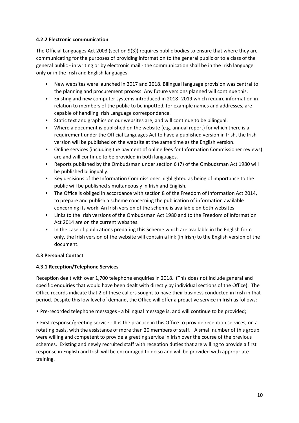### **4.2.2 Electronic communication**

The Official Languages Act 2003 (section 9(3)) requires public bodies to ensure that where they are communicating for the purposes of providing information to the general public or to a class of the general public - in writing or by electronic mail - the communication shall be in the Irish language only or in the Irish and English languages.

- New websites were launched in 2017 and 2018. Bilingual language provision was central to the planning and procurement process. Any future versions planned will continue this.
- Existing and new computer systems introduced in 2018 -2019 which require information in relation to members of the public to be inputted, for example names and addresses, are capable of handling Irish Language correspondence.
- Static text and graphics on our websites are, and will continue to be bilingual.
- Where a document is published on the website (e.g. annual report) for which there is a requirement under the Official Languages Act to have a published version in Irish, the Irish version will be published on the website at the same time as the English version.
- Online services (including the payment of online fees for Information Commissioner reviews) are and will continue to be provided in both languages.
- Reports published by the Ombudsman under section 6 (7) of the Ombudsman Act 1980 will be published bilingually.
- Key decisions of the Information Commissioner highlighted as being of importance to the public will be published simultaneously in Irish and English.
- The Office is obliged in accordance with section 8 of the Freedom of Information Act 2014, to prepare and publish a scheme concerning the publication of information available concerning its work. An Irish version of the scheme is available on both websites
- Links to the Irish versions of the Ombudsman Act 1980 and to the Freedom of Information Act 2014 are on the current websites.
- In the case of publications predating this Scheme which are available in the English form only, the Irish version of the website will contain a link (in Irish) to the English version of the document.

### **4.3 Personal Contact**

### **4.3.1 Reception/Telephone Services**

Reception dealt with over 1,700 telephone enquiries in 2018. (This does not include general and specific enquiries that would have been dealt with directly by individual sections of the Office). The Office records indicate that 2 of these callers sought to have their business conducted in Irish in that period. Despite this low level of demand, the Office will offer a proactive service in Irish as follows:

• Pre-recorded telephone messages - a bilingual message is, and will continue to be provided;

• First response/greeting service - It is the practice in this Office to provide reception services, on a rotating basis, with the assistance of more than 20 members of staff. A small number of this group were willing and competent to provide a greeting service in Irish over the course of the previous schemes. Existing and newly recruited staff with reception duties that are willing to provide a first response in English and Irish will be encouraged to do so and will be provided with appropriate training.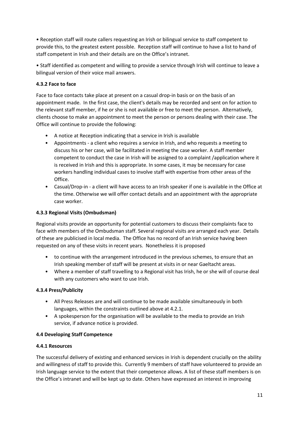• Reception staff will route callers requesting an Irish or bilingual service to staff competent to provide this, to the greatest extent possible. Reception staff will continue to have a list to hand of staff competent in Irish and their details are on the Office's intranet.

• Staff identified as competent and willing to provide a service through Irish will continue to leave a bilingual version of their voice mail answers.

### **4.3.2 Face to face**

Face to face contacts take place at present on a casual drop-in basis or on the basis of an appointment made. In the first case, the client's details may be recorded and sent on for action to the relevant staff member, if he or she is not available or free to meet the person. Alternatively, clients choose to make an appointment to meet the person or persons dealing with their case. The Office will continue to provide the following:

- A notice at Reception indicating that a service in Irish is available
- Appointments a client who requires a service in Irish, and who requests a meeting to discuss his or her case, will be facilitated in meeting the case worker. A staff member competent to conduct the case in Irish will be assigned to a complaint /application where it is received in Irish and this is appropriate. In some cases, it may be necessary for case workers handling individual cases to involve staff with expertise from other areas of the Office.
- Casual/Drop-in a client will have access to an Irish speaker if one is available in the Office at the time. Otherwise we will offer contact details and an appointment with the appropriate case worker.

### **4.3.3 Regional Visits (Ombudsman)**

Regional visits provide an opportunity for potential customers to discuss their complaints face to face with members of the Ombudsman staff. Several regional visits are arranged each year. Details of these are publicised in local media. The Office has no record of an Irish service having been requested on any of these visits in recent years. Nonetheless it is proposed

- to continue with the arrangement introduced in the previous schemes, to ensure that an Irish speaking member of staff will be present at visits in or near Gaeltacht areas.
- Where a member of staff travelling to a Regional visit has Irish, he or she will of course deal with any customers who want to use Irish.

### **4.3.4 Press/Publicity**

- All Press Releases are and will continue to be made available simultaneously in both languages, within the constraints outlined above at 4.2.1.
- A spokesperson for the organisation will be available to the media to provide an Irish service, if advance notice is provided.

### **4.4 Developing Staff Competence**

### **4.4.1 Resources**

The successful delivery of existing and enhanced services in Irish is dependent crucially on the ability and willingness of staff to provide this. Currently 9 members of staff have volunteered to provide an Irish language service to the extent that their competence allows. A list of these staff members is on the Office's intranet and will be kept up to date. Others have expressed an interest in improving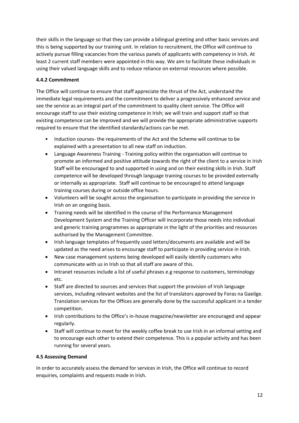their skills in the language so that they can provide a bilingual greeting and other basic services and this is being supported by our training unit. In relation to recruitment, the Office will continue to actively pursue filling vacancies from the various panels of applicants with competency in Irish. At least 2 current staff members were appointed in this way. We aim to facilitate these individuals in using their valued language skills and to reduce reliance on external resources where possible.

### **4.4.2 Commitment**

The Office will continue to ensure that staff appreciate the thrust of the Act, understand the immediate legal requirements and the commitment to deliver a progressively enhanced service and see the service as an integral part of the commitment to quality client service. The Office will encourage staff to use their existing competence in Irish; we will train and support staff so that existing competence can be improved and we will provide the appropriate administrative supports required to ensure that the identified standards/actions can be met.

- Induction courses- the requirements of the Act and the Scheme will continue to be explained with a presentation to all new staff on induction.
- Language Awareness Training Training policy within the organisation will continue to promote an informed and positive attitude towards the right of the client to a service in Irish Staff will be encouraged to and supported in using and on their existing skills in Irish. Staff competence will be developed through language training courses to be provided externally or internally as appropriate. Staff will continue to be encouraged to attend language training courses during or outside office hours.
- Volunteers will be sought across the organisation to participate in providing the service in Irish on an ongoing basis.
- Training needs will be identified in the course of the Performance Management Development System and the Training Officer will incorporate those needs into individual and generic training programmes as appropriate in the light of the priorities and resources authorised by the Management Committee.
- Irish language templates of frequently used letters/documents are available and will be updated as the need arises to encourage staff to participate in providing service in Irish.
- New case management systems being developed will easily identify customers who communicate with us in Irish so that all staff are aware of this.
- Intranet resources include a list of useful phrases e.g response to customers, terminology etc.
- Staff are directed to sources and services that support the provision of Irish language services, including relevant websites and the list of translators approved by Foras na Gaeilge. Translation services for the Offices are generally done by the successful applicant in a tender competition.
- Irish contributions to the Office's in-house magazine/newsletter are encouraged and appear regularly.
- Staff will continue to meet for the weekly coffee break to use Irish in an informal setting and to encourage each other to extend their competence. This is a popular activity and has been running for several years.

### **4.5 Assessing Demand**

In order to accurately assess the demand for services in Irish, the Office will continue to record enquiries, complaints and requests made in Irish.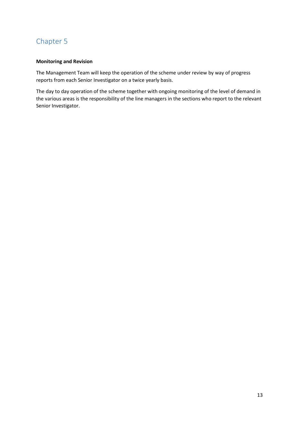### **Monitoring and Revision**

The Management Team will keep the operation of the scheme under review by way of progress reports from each Senior Investigator on a twice yearly basis.

The day to day operation of the scheme together with ongoing monitoring of the level of demand in the various areas is the responsibility of the line managers in the sections who report to the relevant Senior Investigator.